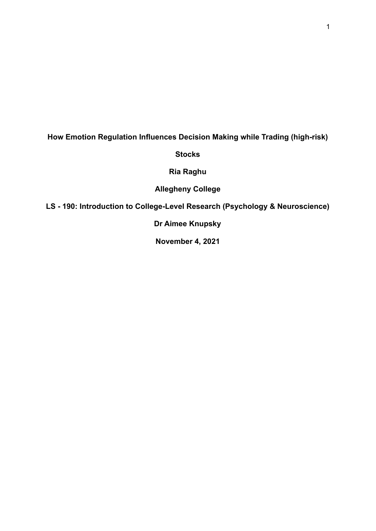# **How Emotion Regulation Influences Decision Making while Trading (high-risk)**

**Stocks**

**Ria Raghu**

**Allegheny College**

**LS - 190: Introduction to College-Level Research (Psychology & Neuroscience)**

**Dr Aimee Knupsky**

**November 4, 2021**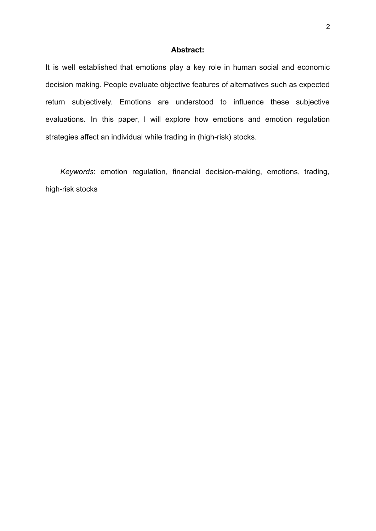## **Abstract:**

It is well established that emotions play a key role in human social and economic decision making. People evaluate objective features of alternatives such as expected return subjectively. Emotions are understood to influence these subjective evaluations. In this paper, I will explore how emotions and emotion regulation strategies affect an individual while trading in (high-risk) stocks.

*Keywords*: emotion regulation, financial decision-making, emotions, trading, high-risk stocks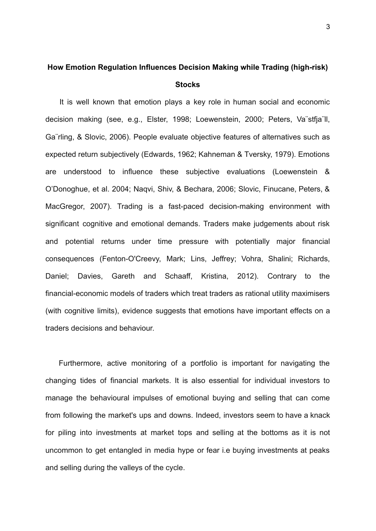# **How Emotion Regulation Influences Decision Making while Trading (high-risk) Stocks**

It is well known that emotion plays a key role in human social and economic decision making (see, e.g., Elster, 1998; Loewenstein, 2000; Peters, Va¨stfja¨ll, Ga¨rling, & Slovic, 2006). People evaluate objective features of alternatives such as expected return subjectively (Edwards, 1962; Kahneman & Tversky, 1979). Emotions are understood to influence these subjective evaluations (Loewenstein & O'Donoghue, et al. 2004; Naqvi, Shiv, & Bechara, 2006; Slovic, Finucane, Peters, & MacGregor, 2007). Trading is a fast-paced decision-making environment with significant cognitive and emotional demands. Traders make judgements about risk and potential returns under time pressure with potentially major financial consequences (Fenton-O'Creevy, Mark; Lins, Jeffrey; Vohra, Shalini; Richards, Daniel; Davies, Gareth and Schaaff, Kristina, 2012). Contrary to the financial-economic models of traders which treat traders as rational utility maximisers (with cognitive limits), evidence suggests that emotions have important effects on a traders decisions and behaviour.

Furthermore, active monitoring of a portfolio is important for navigating the changing tides of financial markets. It is also essential for individual investors to manage the behavioural impulses of emotional buying and selling that can come from following the market's ups and downs. Indeed, investors seem to have a knack for piling into investments at market tops and selling at the bottoms as it is not uncommon to get entangled in media hype or fear i.e buying investments at peaks and selling during the valleys of the cycle.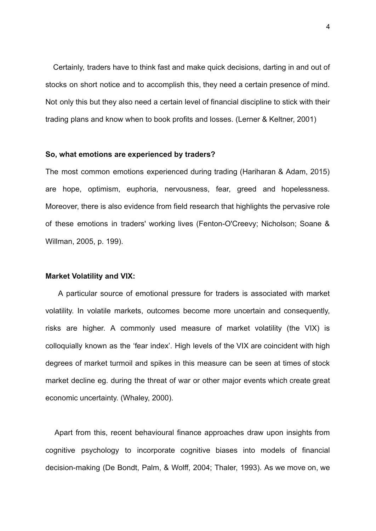Certainly, traders have to think fast and make quick decisions, darting in and out of stocks on short notice and to accomplish this, they need a certain presence of mind. Not only this but they also need a certain level of financial discipline to stick with their trading plans and know when to book profits and losses. (Lerner & Keltner, 2001)

#### **So, what emotions are experienced by traders?**

The most common emotions experienced during trading (Hariharan & Adam, 2015) are hope, optimism, euphoria, nervousness, fear, greed and hopelessness. Moreover, there is also evidence from field research that highlights the pervasive role of these emotions in traders' working lives (Fenton-O'Creevy; Nicholson; Soane & Willman, 2005, p. 199).

#### **Market Volatility and VIX:**

A particular source of emotional pressure for traders is associated with market volatility. In volatile markets, outcomes become more uncertain and consequently, risks are higher. A commonly used measure of market volatility (the VIX) is colloquially known as the 'fear index'. High levels of the VIX are coincident with high degrees of market turmoil and spikes in this measure can be seen at times of stock market decline eg. during the threat of war or other major events which create great economic uncertainty. (Whaley, 2000).

Apart from this, recent behavioural finance approaches draw upon insights from cognitive psychology to incorporate cognitive biases into models of financial decision-making (De Bondt, Palm, & Wolff, 2004; Thaler, 1993). As we move on, we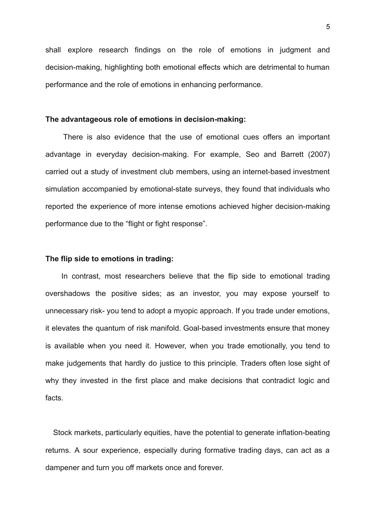shall explore research findings on the role of emotions in judgment and decision-making, highlighting both emotional effects which are detrimental to human performance and the role of emotions in enhancing performance.

#### **The advantageous role of emotions in decision-making:**

There is also evidence that the use of emotional cues offers an important advantage in everyday decision-making. For example, Seo and Barrett (2007) carried out a study of investment club members, using an internet-based investment simulation accompanied by emotional-state surveys, they found that individuals who reported the experience of more intense emotions achieved higher decision-making performance due to the "flight or fight response".

# **The flip side to emotions in trading:**

In contrast, most researchers believe that the flip side to emotional trading overshadows the positive sides; as an investor, you may expose yourself to unnecessary risk- you tend to adopt a myopic approach. If you trade under emotions, it elevates the quantum of risk manifold. Goal-based investments ensure that money is available when you need it. However, when you trade emotionally, you tend to make judgements that hardly do justice to this principle. Traders often lose sight of why they invested in the first place and make decisions that contradict logic and facts.

Stock markets, particularly equities, have the potential to generate inflation-beating returns. A sour experience, especially during formative trading days, can act as a dampener and turn you off markets once and forever.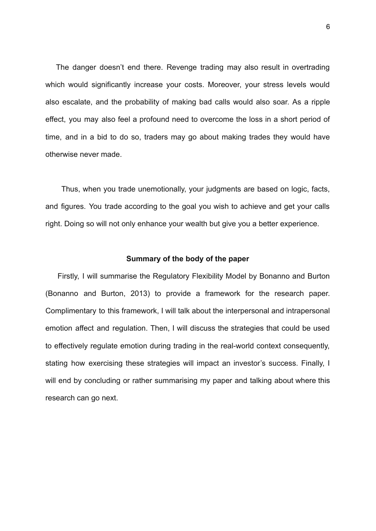The danger doesn't end there. Revenge trading may also result in overtrading which would significantly increase your costs. Moreover, your stress levels would also escalate, and the probability of making bad calls would also soar. As a ripple effect, you may also feel a profound need to overcome the loss in a short period of time, and in a bid to do so, traders may go about making trades they would have otherwise never made.

Thus, when you trade unemotionally, your judgments are based on logic, facts, and figures. You trade according to the goal you wish to achieve and get your calls right. Doing so will not only enhance your wealth but give you a better experience.

#### **Summary of the body of the paper**

Firstly, I will summarise the Regulatory Flexibility Model by Bonanno and Burton (Bonanno and Burton, 2013) to provide a framework for the research paper. Complimentary to this framework, I will talk about the interpersonal and intrapersonal emotion affect and regulation. Then, I will discuss the strategies that could be used to effectively regulate emotion during trading in the real-world context consequently, stating how exercising these strategies will impact an investor's success. Finally, I will end by concluding or rather summarising my paper and talking about where this research can go next.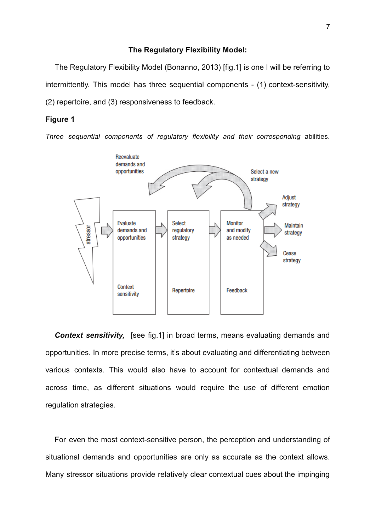#### **The Regulatory Flexibility Model:**

The Regulatory Flexibility Model (Bonanno, 2013) [fig.1] is one I will be referring to intermittently. This model has three sequential components - (1) context-sensitivity, (2) repertoire, and (3) responsiveness to feedback.

# **Figure 1**

*Three sequential components of regulatory flexibility and their corresponding* abilities.



**Context sensitivity,** [see fig.1] in broad terms, means evaluating demands and opportunities. In more precise terms, it's about evaluating and differentiating between various contexts. This would also have to account for contextual demands and across time, as different situations would require the use of different emotion regulation strategies.

For even the most context-sensitive person, the perception and understanding of situational demands and opportunities are only as accurate as the context allows. Many stressor situations provide relatively clear contextual cues about the impinging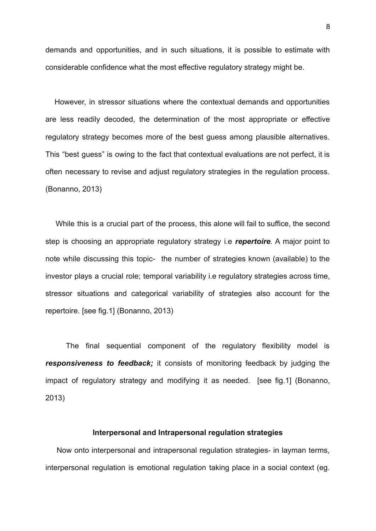demands and opportunities, and in such situations, it is possible to estimate with considerable confidence what the most effective regulatory strategy might be.

However, in stressor situations where the contextual demands and opportunities are less readily decoded, the determination of the most appropriate or effective regulatory strategy becomes more of the best guess among plausible alternatives. This "best guess" is owing to the fact that contextual evaluations are not perfect, it is often necessary to revise and adjust regulatory strategies in the regulation process. (Bonanno, 2013)

While this is a crucial part of the process, this alone will fail to suffice, the second step is choosing an appropriate regulatory strategy i.e *repertoire*. A major point to note while discussing this topic- the number of strategies known (available) to the investor plays a crucial role; temporal variability i.e regulatory strategies across time, stressor situations and categorical variability of strategies also account for the repertoire. [see fig.1] (Bonanno, 2013)

The final sequential component of the regulatory flexibility model is *responsiveness to feedback;* it consists of monitoring feedback by judging the impact of regulatory strategy and modifying it as needed. [see fig.1] (Bonanno, 2013)

# **Interpersonal and Intrapersonal regulation strategies**

Now onto interpersonal and intrapersonal regulation strategies- in layman terms, interpersonal regulation is emotional regulation taking place in a social context (eg.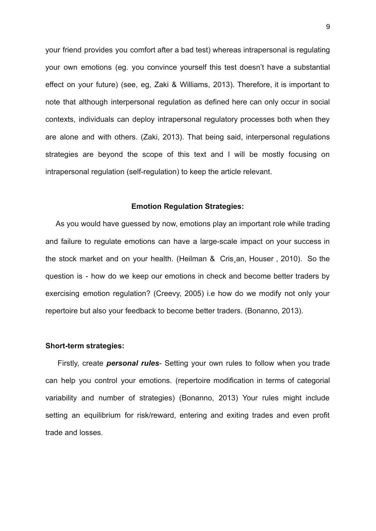your friend provides you comfort after a bad test) whereas intrapersonal is regulating your own emotions (eg. you convince yourself this test doesn't have a substantial effect on your future) (see, eg, Zaki & Williams, 2013). Therefore, it is important to note that although interpersonal regulation as defined here can only occur in social contexts, individuals can deploy intrapersonal regulatory processes both when they are alone and with others. (Zaki, 2013). That being said, interpersonal regulations strategies are beyond the scope of this text and I will be mostly focusing on intrapersonal regulation (self-regulation) to keep the article relevant.

#### **Emotion Regulation Strategies:**

As you would have guessed by now, emotions play an important role while trading and failure to regulate emotions can have a large-scale impact on your success in the stock market and on your health. (Heilman & Cris¸an, Houser , 2010). So the question is - how do we keep our emotions in check and become better traders by exercising emotion regulation? (Creevy, 2005) i.e how do we modify not only your repertoire but also your feedback to become better traders. (Bonanno, 2013).

#### **Short-term strategies:**

Firstly, create *personal rules*- Setting your own rules to follow when you trade can help you control your emotions. (repertoire modification in terms of categorial variability and number of strategies) (Bonanno, 2013) Your rules might include setting an equilibrium for risk/reward, entering and exiting trades and even profit trade and losses.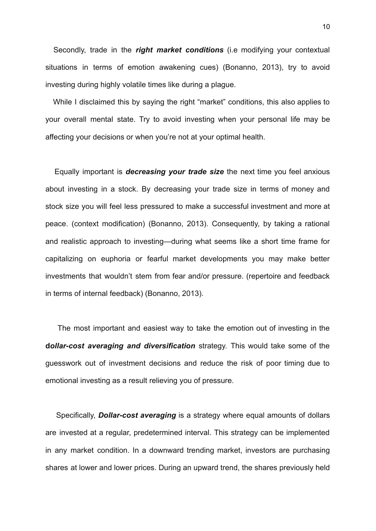Secondly, trade in the *right market conditions* (i.e modifying your contextual situations in terms of emotion awakening cues) (Bonanno, 2013), try to avoid investing during highly volatile times like during a plague.

While I disclaimed this by saying the right "market" conditions, this also applies to your overall mental state. Try to avoid investing when your personal life may be affecting your decisions or when you're not at your optimal health.

Equally important is *decreasing your trade size* the next time you feel anxious about investing in a stock. By decreasing your trade size in terms of money and stock size you will feel less pressured to make a successful investment and more at peace. (context modification) (Bonanno, 2013). Consequently, by taking a rational and realistic approach to investing—during what seems like a short time frame for capitalizing on euphoria or fearful market developments you may make better investments that wouldn't stem from fear and/or pressure. (repertoire and feedback in terms of internal feedback) (Bonanno, 2013).

The most important and easiest way to take the emotion out of investing in the **d***ollar-cost averaging and diversification* strategy. This would take some of the guesswork out of investment decisions and reduce the risk of poor timing due to emotional investing as a result relieving you of pressure.

Specifically, *Dollar-cost averaging* is a strategy where equal amounts of dollars are invested at a regular, predetermined interval. This strategy can be implemented in any market condition. In a downward trending market, investors are purchasing shares at lower and lower prices. During an upward trend, the shares previously held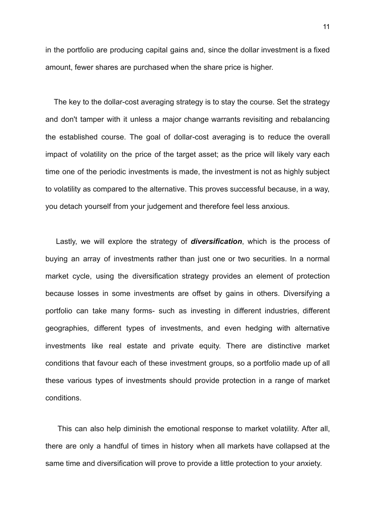in the portfolio are producing capital gains and, since the dollar investment is a fixed amount, fewer shares are purchased when the share price is higher.

The key to the dollar-cost averaging strategy is to stay the course. Set the strategy and don't tamper with it unless a major change warrants revisiting and rebalancing the established course. The goal of dollar-cost averaging is to reduce the overall impact of volatility on the price of the target asset; as the price will likely vary each time one of the periodic investments is made, the investment is not as highly subject to volatility as compared to the alternative. This proves successful because, in a way, you detach yourself from your judgement and therefore feel less anxious.

Lastly, we will explore the strategy of *diversification*, which is the process of buying an array of investments rather than just one or two securities. In a normal market cycle, using the diversification strategy provides an element of protection because losses in some investments are offset by gains in others. Diversifying a portfolio can take many forms- such as investing in different industries, different geographies, different types of investments, and even hedging with alternative investments like real estate and private equity. There are distinctive market conditions that favour each of these investment groups, so a portfolio made up of all these various types of investments should provide protection in a range of market conditions.

This can also help diminish the emotional response to market volatility. After all, there are only a handful of times in history when all markets have collapsed at the same time and diversification will prove to provide a little protection to your anxiety.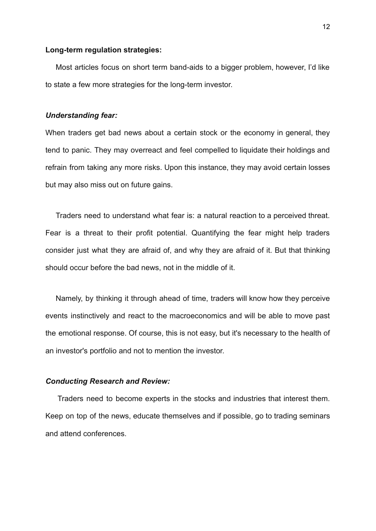#### **Long-term regulation strategies:**

Most articles focus on short term band-aids to a bigger problem, however, I'd like to state a few more strategies for the long-term investor.

#### *Understanding fear:*

When traders get bad news about a certain stock or the economy in general, they tend to panic. They may overreact and feel compelled to liquidate their holdings and refrain from taking any more risks. Upon this instance, they may avoid certain losses but may also miss out on future gains.

Traders need to understand what fear is: a natural reaction to a perceived threat. Fear is a threat to their profit potential. Quantifying the fear might help traders consider just what they are afraid of, and why they are afraid of it. But that thinking should occur before the bad news, not in the middle of it.

Namely, by thinking it through ahead of time, traders will know how they perceive events instinctively and react to the macroeconomics and will be able to move past the emotional response. Of course, this is not easy, but it's necessary to the health of an investor's portfolio and not to mention the investor.

#### *Conducting Research and Review:*

Traders need to become experts in the stocks and industries that interest them. Keep on top of the news, educate themselves and if possible, go to trading seminars and attend conferences.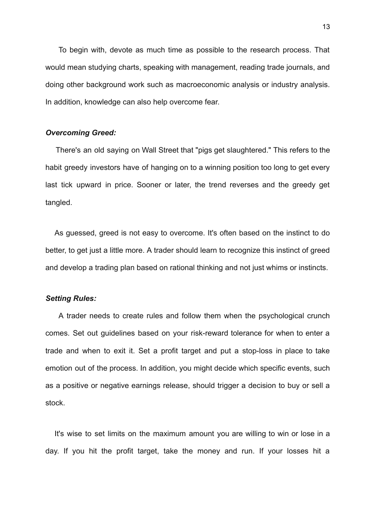To begin with, devote as much time as possible to the research process. That would mean studying charts, speaking with management, reading trade journals, and doing other background work such as macroeconomic analysis or industry analysis. In addition, knowledge can also help overcome fear.

#### *Overcoming Greed:*

There's an old saying on Wall Street that "pigs get slaughtered." This refers to the habit greedy investors have of hanging on to a winning position too long to get every last tick upward in price. Sooner or later, the trend reverses and the greedy get tangled.

As guessed, greed is not easy to overcome. It's often based on the instinct to do better, to get just a little more. A trader should learn to recognize this instinct of greed and develop a trading plan based on rational thinking and not just whims or instincts.

#### *Setting Rules:*

A trader needs to create rules and follow them when the psychological crunch comes. Set out guidelines based on your risk-reward tolerance for when to enter a trade and when to exit it. Set a profit target and put a stop-loss in place to take emotion out of the process. In addition, you might decide which specific events, such as a positive or negative earnings release, should trigger a decision to buy or sell a stock.

It's wise to set limits on the maximum amount you are willing to win or lose in a day. If you hit the profit target, take the money and run. If your losses hit a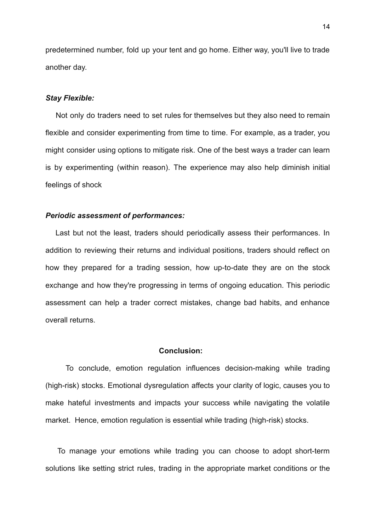predetermined number, fold up your tent and go home. Either way, you'll live to trade another day.

#### *Stay Flexible:*

Not only do traders need to set rules for themselves but they also need to remain flexible and consider experimenting from time to time. For example, as a trader, you might consider using [options](https://www.investopedia.com/terms/o/option.asp) to mitigate risk. One of the best ways a trader can learn is by experimenting (within reason). The experience may also help diminish initial feelings of shock

# *Periodic assessment of performances:*

Last but not the least, traders should periodically assess their performances. In addition to reviewing their returns and individual positions, traders should reflect on how they prepared for a trading session, how up-to-date they are on the stock exchange and how they're progressing in terms of ongoing education. This periodic assessment can help a trader correct mistakes, change bad habits, and enhance overall returns.

## **Conclusion:**

To conclude, emotion regulation influences decision-making while trading (high-risk) stocks. Emotional dysregulation affects your clarity of logic, causes you to make hateful investments and impacts your success while navigating the volatile market. Hence, emotion regulation is essential while trading (high-risk) stocks.

To manage your emotions while trading you can choose to adopt short-term solutions like setting strict rules, trading in the appropriate market conditions or the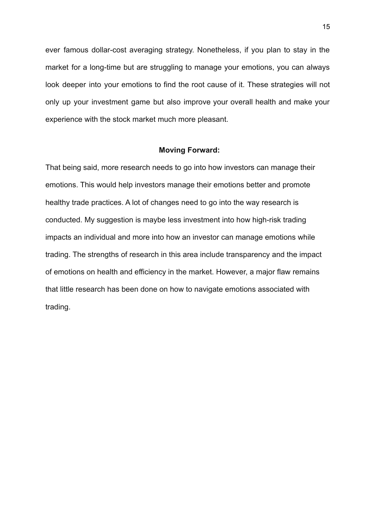ever famous dollar-cost averaging strategy. Nonetheless, if you plan to stay in the market for a long-time but are struggling to manage your emotions, you can always look deeper into your emotions to find the root cause of it. These strategies will not only up your investment game but also improve your overall health and make your experience with the stock market much more pleasant.

#### **Moving Forward:**

That being said, more research needs to go into how investors can manage their emotions. This would help investors manage their emotions better and promote healthy trade practices. A lot of changes need to go into the way research is conducted. My suggestion is maybe less investment into how high-risk trading impacts an individual and more into how an investor can manage emotions while trading. The strengths of research in this area include transparency and the impact of emotions on health and efficiency in the market. However, a major flaw remains that little research has been done on how to navigate emotions associated with trading.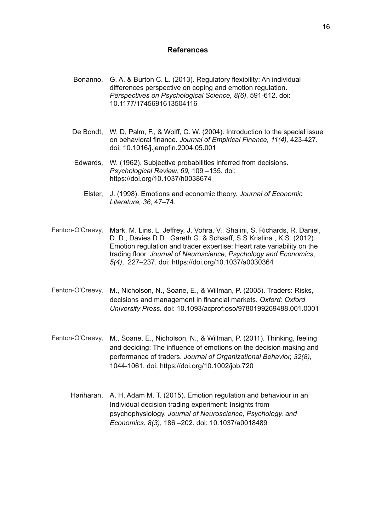#### **References**

- Bonanno, G. A. & Burton C. L. (2013). Regulatory flexibility: An individual differences perspective on coping and emotion regulation. *Perspectives on Psychological Science, 8(6)*, 591-612. doi: 10.1177/1745691613504116
- De Bondt, W. D, Palm, F., & Wolff, C. W. (2004). Introduction to the special issue on behavioral finance. *Journal of Empirical Finance, 11(4),* 423-427. doi: 10.1016/j.jempfin.2004.05.001
- Edwards, W. (1962). Subjective probabilities inferred from decisions. *Psychological Review, 69,* 109 –135. doi: https://doi.org/10.1037/h0038674
	- Elster, J. (1998). Emotions and economic theory. *Journal of Economic Literature, 36,* 47–74.
- Fenton-O'Creevy, Mark, M. Lins, L. Jeffrey, J. Vohra, V., Shalini, S. Richards, R. Daniel, D. D., Davies D.D. Gareth G. & Schaaff, S.S Kristina , K.S. (2012). Emotion regulation and trader expertise: Heart rate variability on the trading floor. *Journal of Neuroscience, Psychology and Economics*, *5(4)*, 227–237. doi: https://doi.org/10.1037/a0030364
- Fenton-O'Creevy, M., Nicholson, N., Soane, E., & Willman, P. (2005). Traders: Risks, decisions and management in financial markets. *Oxford: Oxford University Press.* doi: 10.1093/acprof:oso/9780199269488.001.0001
- Fenton-O'Creevy, M., Soane, E., Nicholson, N., & Willman, P. (2011). Thinking, feeling and deciding: The influence of emotions on the decision making and performance of traders. *Journal of Organizational Behavior, 32(8)*, 1044-1061. doi: https://doi.org/10.1002/job.720
	- Hariharan, A. H, Adam M. T. (2015). Emotion regulation and behaviour in an Individual decision trading experiment: Insights from psychophysiology. *Journal of Neuroscience, Psychology, and Economics. 8(3)*, 186 –202. doi: 10.1037/a0018489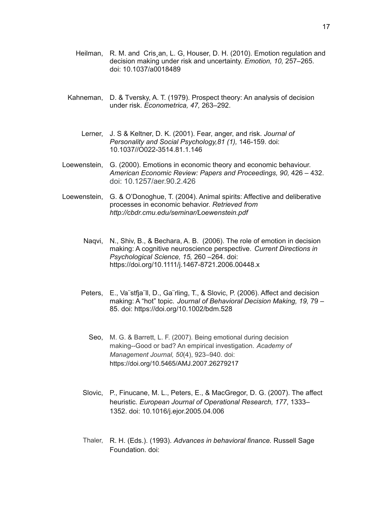- Heilman, R. M. and Cris an, L. G. Houser, D. H. (2010). Emotion regulation and decision making under risk and uncertainty. *Emotion, 10,* 257–265. doi: 10.1037/a0018489
- Kahneman, D. & Tversky, A. T. (1979). Prospect theory: An analysis of decision under risk. *Econometrica, 47,* 263–292.
	- Lerner, J. S & Keltner, D. K. (2001). Fear, anger, and risk. *Journal of Personality and Social Psychology,81 (1),* 146-159. doi: 10.1037//O022-3514.81.1.146
- Loewenstein, G. (2000). Emotions in economic theory and economic behaviour. *American Economic Review: Papers and Proceedings, 90,* 426 – 432. doi: 10.1257/aer.90.2.426
- Loewenstein, G. & O'Donoghue, T. (2004). Animal spirits: Affective and deliberative processes in economic behavior. *Retrieved from http://cbdr.cmu.edu/seminar/Loewenstein.pdf*
	- Naqvi, N., Shiv, B., & Bechara, A. B. (2006). The role of emotion in decision making: A cognitive neuroscience perspective. *Current Directions in Psychological Science, 15,* 260 –264. doi: https://doi.org/10.1111/j.1467-8721.2006.00448.x
	- Peters, E., Va¨stfja¨ll, D., Ga¨rling, T., & Slovic, P. (2006). Affect and decision making: A "hot" topic. *Journal of Behavioral Decision Making, 19,* 79 – 85. doi: https://doi.org/10.1002/bdm.528
		- Seo, M. G. & Barrett, L. F. (2007). Being emotional during decision making--Good or bad? An empirical investigation. *Academy of Management Journal, 50*(4), 923–940. doi: [https://doi.org/10.5465/AMJ.2007.26279217](https://psycnet.apa.org/doi/10.5465/AMJ.2007.26279217)
	- Slovic, P., Finucane, M. L., Peters, E., & MacGregor, D. G. (2007). The affect heuristic. *European Journal of Operational Research, 177*, 1333– 1352. doi: 10.1016/j.ejor.2005.04.006
	- Thaler, R. H. (Eds.). (1993). *Advances in behavioral finance.* Russell Sage Foundation. doi: